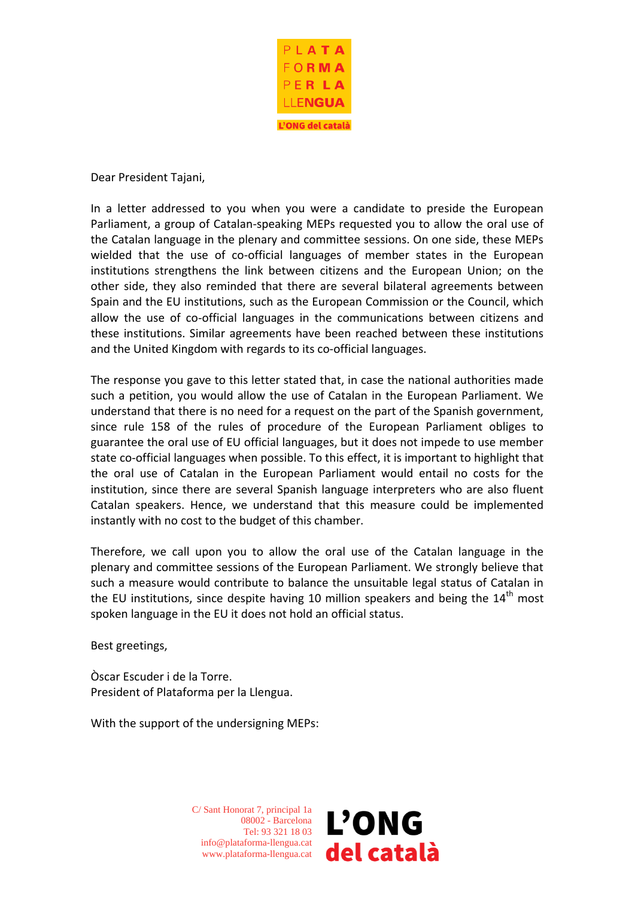

Dear President Tajani,

In a letter addressed to you when you were a candidate to preside the European Parliament, a group of Catalan-speaking MEPs requested you to allow the oral use of the Catalan language in the plenary and committee sessions. On one side, these MEPs wielded that the use of co-official languages of member states in the European institutions strengthens the link between citizens and the European Union; on the other side, they also reminded that there are several bilateral agreements between Spain and the EU institutions, such as the European Commission or the Council, which allow the use of co-official languages in the communications between citizens and these institutions. Similar agreements have been reached between these institutions and the United Kingdom with regards to its co-official languages.

The response you gave to this letter stated that, in case the national authorities made such a petition, you would allow the use of Catalan in the European Parliament. We understand that there is no need for a request on the part of the Spanish government, since rule 158 of the rules of procedure of the European Parliament obliges to guarantee the oral use of EU official languages, but it does not impede to use member state co-official languages when possible. To this effect, it is important to highlight that the oral use of Catalan in the European Parliament would entail no costs for the institution, since there are several Spanish language interpreters who are also fluent Catalan speakers. Hence, we understand that this measure could be implemented instantly with no cost to the budget of this chamber.

Therefore, we call upon you to allow the oral use of the Catalan language in the plenary and committee sessions of the European Parliament. We strongly believe that such a measure would contribute to balance the unsuitable legal status of Catalan in the EU institutions, since despite having 10 million speakers and being the  $14<sup>th</sup>$  most spoken language in the EU it does not hold an official status.

Best greetings,

Òscar Escuder i de la Torre. President of Plataforma per la Llengua.

With the support of the undersigning MEPs:

C/ Sant Honorat 7, principal 1a 08002 - Barcelona Tel: 93 321 18 03 info@plataforma-llengua.cat www.plataforma-llengua.cat